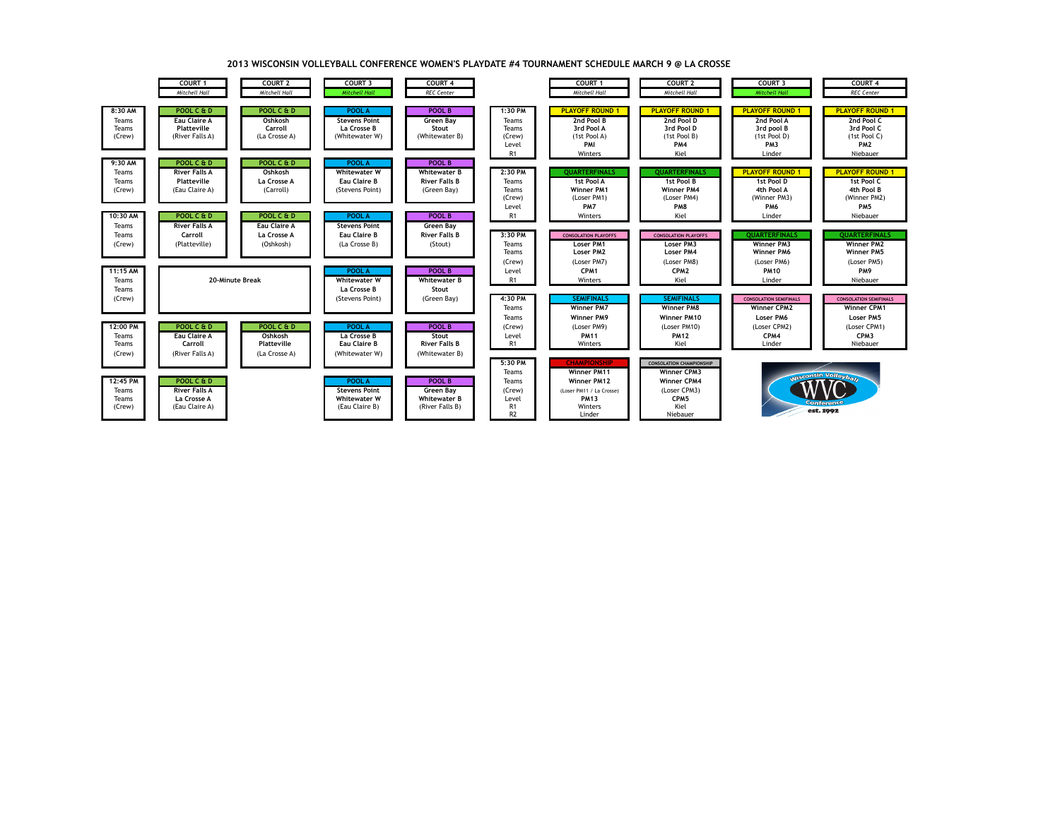|                                             | COURT <sub>1</sub>                                                  | <b>COURT 2</b>                                         | <b>COURT 3</b>                                                          | COURT <sub>4</sub>                                                   |                                                                       | COURT <sub>1</sub>                                                                                       | <b>COURT 2</b>                                                                               | COURT <sub>3</sub>                                                                              | <b>COURT 4</b>                                                                                  |
|---------------------------------------------|---------------------------------------------------------------------|--------------------------------------------------------|-------------------------------------------------------------------------|----------------------------------------------------------------------|-----------------------------------------------------------------------|----------------------------------------------------------------------------------------------------------|----------------------------------------------------------------------------------------------|-------------------------------------------------------------------------------------------------|-------------------------------------------------------------------------------------------------|
|                                             | <b>Mitchell Hall</b>                                                | <b>Mitchell Hall</b>                                   | <b>Mitchell Hall</b>                                                    | <b>REC</b> Center                                                    |                                                                       | <b>Mitchell Hall</b>                                                                                     | <b>Mitchell Hall</b>                                                                         | <b>Mitchell Hall</b>                                                                            | <b>REC</b> Center                                                                               |
| 8:30 AM<br>Teams<br>Teams<br>(Crew)         | POOL C & D<br><b>Eau Claire A</b><br>Platteville<br>(River Falls A) | POOL C & D<br>Oshkosh<br>Carroll<br>(La Crosse A)      | POOL A<br><b>Stevens Point</b><br>La Crosse B<br>(Whitewater W)         | POOL B<br>Green Bay<br>Stout<br>(Whitewater B)                       | 1:30 PM<br>Teams<br>Teams<br>(Crew)<br>Level                          | <b>PLAYOFF ROUND 1</b><br>2nd Pool B<br>3rd Pool A<br>(1st Pool A)<br>PMI                                | <b>PLAYOFF ROUND 1</b><br>2nd Pool D<br>3rd Pool D<br>(1st Pool B)<br>PM <sub>4</sub>        | <b>PLAYOFF ROUND 1</b><br>2nd Pool A<br>3rd pool B<br>(1st Pool D)<br>PM3                       | <b>PLAYOFF ROUND</b><br>2nd Pool C<br>3rd Pool C<br>(1st Pool C)<br>PM <sub>2</sub>             |
| $9:30$ AM<br>Teams<br>Teams<br>(Crew)       | POOL C & D<br>River Falls A<br>Platteville<br>(Eau Claire A)        | POOL C & D<br>Oshkosh<br>La Crosse A<br>(Carroll)      | <b>POOL A</b><br>Whitewater W<br><b>Eau Claire B</b><br>(Stevens Point) | POOL B<br><b>Whitewater B</b><br><b>River Falls B</b><br>(Green Bay) | R1<br>2:30 PM<br>Teams<br>Teams<br>(Crew)<br>Level                    | Winters<br><b>OUARTERFINALS</b><br>1st Pool A<br>Winner PM1<br>(Loser PM1)<br>PM7                        | Kiel<br><b>QUARTERFINALS</b><br>1st Pool B<br><b>Winner PM4</b><br>(Loser PM4)<br>PM8        | Linder<br><b>PLAYOFF ROUND 1</b><br>1st Pool D<br>4th Pool A<br>(Winner PM3)<br>PM <sub>6</sub> | Niebauer<br><b>PLAYOFF ROUND</b><br>1st Pool C<br>4th Pool B<br>(Winner PM2)<br>PM <sub>5</sub> |
| 10:30 AM<br><b>Teams</b><br>Teams<br>(Crew) | POOL C & D<br><b>River Falls A</b><br>Carroll<br>(Platteville)      | POOL C & D<br>Eau Claire A<br>La Crosse A<br>(Oshkosh) | POOL A<br><b>Stevens Point</b><br><b>Eau Claire B</b><br>(La Crosse B)  | POOL B<br>Green Bay<br><b>River Falls B</b><br>(Stout)               | R <sub>1</sub><br>3:30 PM<br>Teams<br>Teams<br>(Crew)                 | Winters<br><b>CONSOLATION PLAYOFFS</b><br><b>Loser PM1</b><br>Loser PM2<br>(Loser PM7)                   | Kiel<br><b>CONSOLATION PLAYOFFS</b><br>Loser PM3<br><b>Loser PM4</b><br>(Loser PM8)          | Linder<br><b>OUARTERFINALS</b><br><b>Winner PM3</b><br><b>Winner PM6</b><br>(Loser PM6)         | Niebauer<br><b>OUARTERFINALS</b><br><b>Winner PM2</b><br><b>Winner PM5</b><br>(Loser PM5)       |
| 11:15 AM<br>Teams<br>Teams<br>(Crew)        | <b>20-Minute Break</b>                                              |                                                        | POOL A<br><b>Whitewater W</b><br>La Crosse B<br>(Stevens Point)         | POOL B<br><b>Whitewater B</b><br>Stout<br>(Green Bay)                | Level<br>R1<br>4:30 PM<br>Teams                                       | CPM1<br>Winters<br><b>SEMIFINALS</b><br><b>Winner PM7</b>                                                | CPM <sub>2</sub><br>Kiel<br><b>SEMIFINALS</b><br><b>Winner PM8</b>                           | <b>PM10</b><br>Linder<br><b>CONSOLATION SEMIFINALS</b><br><b>Winner CPM2</b>                    | PM9<br>Niebauer<br><b>CONSOLATION SEMIFINALS</b><br><b>Winner CPM1</b>                          |
| 12:00 PM<br>Teams<br>Teams<br>(Crew)        | POOL C & D<br>Eau Claire A<br>Carroll<br>(River Falls A)            | POOL C & D<br>Oshkosh<br>Platteville<br>(La Crosse A)  | POOL A<br>La Crosse B<br><b>Eau Claire B</b><br>(Whitewater W)          | POOL B<br>Stout<br><b>River Falls B</b><br>(Whitewater B)            | Teams<br>(Crew)<br>Level<br>R <sub>1</sub><br>5:30 PM                 | <b>Winner PM9</b><br>(Loser PM9)<br><b>PM11</b><br>Winters<br><b>CHAMPIONSHIP</b>                        | <b>Winner PM10</b><br>(Loser PM10)<br><b>PM12</b><br>Kiel<br><b>CONSOLATION CHAMPIONSHIP</b> | <b>Loser PM6</b><br>(Loser CPM2)<br>CPM4<br>Linder                                              | <b>Loser PM5</b><br>(Loser CPM1)<br>CPM3<br>Niebauer                                            |
| 12:45 PM<br>Teams<br>Teams<br>(Crew)        | POOL C & D<br><b>River Falls A</b><br>La Crosse A<br>(Eau Claire A) |                                                        | POOL A<br><b>Stevens Point</b><br><b>Whitewater W</b><br>(Eau Claire B) | POOL B<br>Green Bay<br><b>Whitewater B</b><br>(River Falls B)        | Teams<br>Teams<br>(Crew)<br>Level<br>R <sub>1</sub><br>R <sub>2</sub> | <b>Winner PM11</b><br><b>Winner PM12</b><br>(Loser PM11 / La Crosse)<br><b>PM13</b><br>Winters<br>Linder | <b>Winner CPM3</b><br><b>Winner CPM4</b><br>(Loser CPM3)<br>CPM5<br>Kiel<br>Niebauer         | <b>Misconsin Volleyban</b><br>est. 1992                                                         |                                                                                                 |

## **2013 WISCONSIN VOLLEYBALL CONFERENCE WOMEN'S PLAYDATE #4 TOURNAMENT SCHEDULE MARCH 9 @ LA CROSSE**